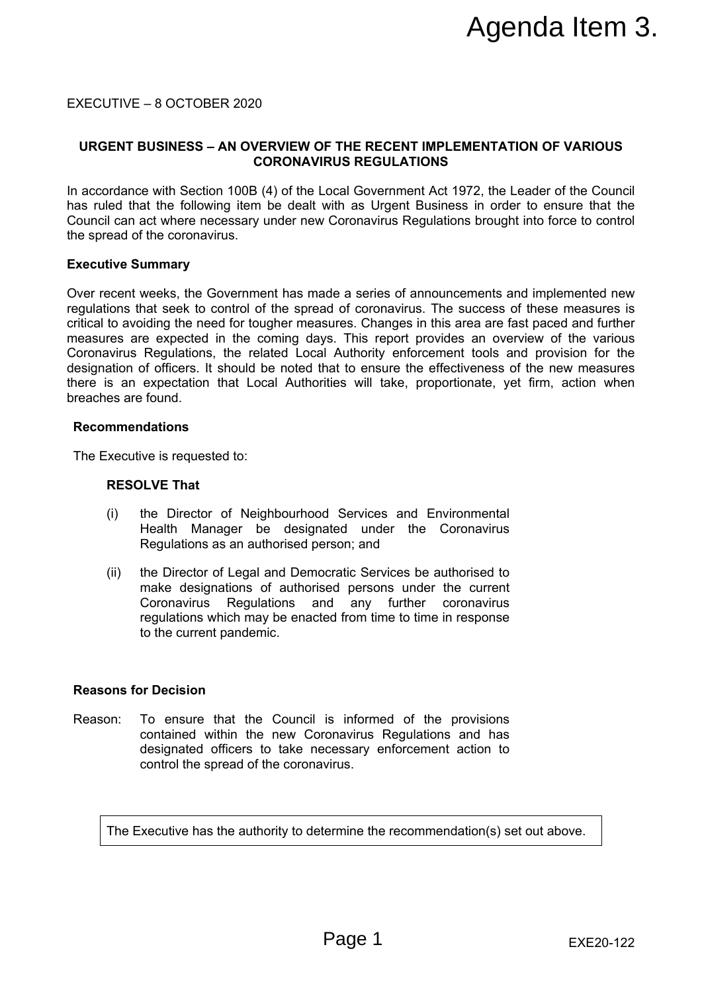EXECUTIVE – 8 OCTOBER 2020

# **URGENT BUSINESS – AN OVERVIEW OF THE RECENT IMPLEMENTATION OF VARIOUS CORONAVIRUS REGULATIONS**

In accordance with Section 100B (4) of the Local Government Act 1972, the Leader of the Council has ruled that the following item be dealt with as Urgent Business in order to ensure that the Council can act where necessary under new Coronavirus Regulations brought into force to control the spread of the coronavirus.

#### **Executive Summary**

Over recent weeks, the Government has made a series of announcements and implemented new regulations that seek to control of the spread of coronavirus. The success of these measures is critical to avoiding the need for tougher measures. Changes in this area are fast paced and further measures are expected in the coming days. This report provides an overview of the various Coronavirus Regulations, the related Local Authority enforcement tools and provision for the designation of officers. It should be noted that to ensure the effectiveness of the new measures there is an expectation that Local Authorities will take, proportionate, yet firm, action when breaches are found. **EXECT IMPLEMENTATION OF VARIOUS**<br> **PRIE RECENT IMPLEMENTATION OF VARIOUS**<br>
RUS REGOULATIONS<br>
RUS REGOULATIONS<br>
COCOR COMBINE SURFACT TO A LIGNER CONDUST CONDUST AND A SURFACT BUSINESS IN order to ensure that the<br>
DCoronav

#### **Recommendations**

The Executive is requested to:

# **RESOLVE That**

- (i) the Director of Neighbourhood Services and Environmental Health Manager be designated under the Coronavirus Regulations as an authorised person; and
- (ii) the Director of Legal and Democratic Services be authorised to make designations of authorised persons under the current Coronavirus Regulations and any further coronavirus regulations which may be enacted from time to time in response to the current pandemic.

#### **Reasons for Decision**

Reason: To ensure that the Council is informed of the provisions contained within the new Coronavirus Regulations and has designated officers to take necessary enforcement action to control the spread of the coronavirus.

The Executive has the authority to determine the recommendation(s) set out above.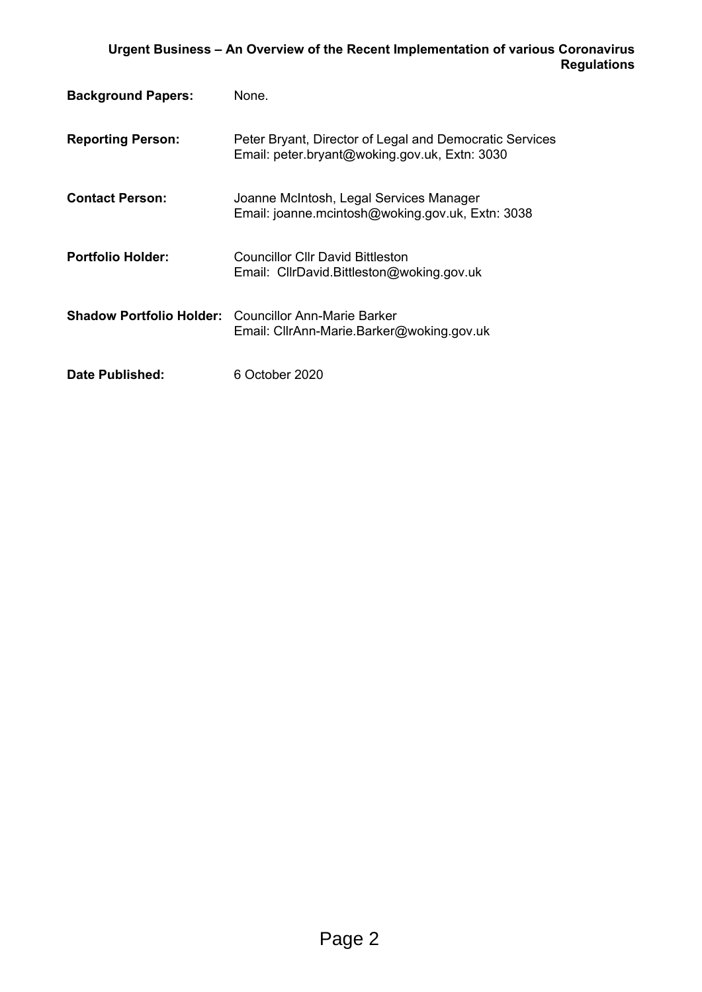| <b>Background Papers:</b> | None.                                                                                                    |
|---------------------------|----------------------------------------------------------------------------------------------------------|
| <b>Reporting Person:</b>  | Peter Bryant, Director of Legal and Democratic Services<br>Email: peter.bryant@woking.gov.uk, Extn: 3030 |
| <b>Contact Person:</b>    | Joanne McIntosh, Legal Services Manager<br>Email: joanne.mcintosh@woking.gov.uk, Extn: 3038              |
| <b>Portfolio Holder:</b>  | Councillor Cllr David Bittleston<br>Email: CllrDavid.Bittleston@woking.gov.uk                            |
|                           | <b>Shadow Portfolio Holder:</b> Councillor Ann-Marie Barker<br>Email: CllrAnn-Marie.Barker@woking.gov.uk |
| Date Published:           | 6 October 2020                                                                                           |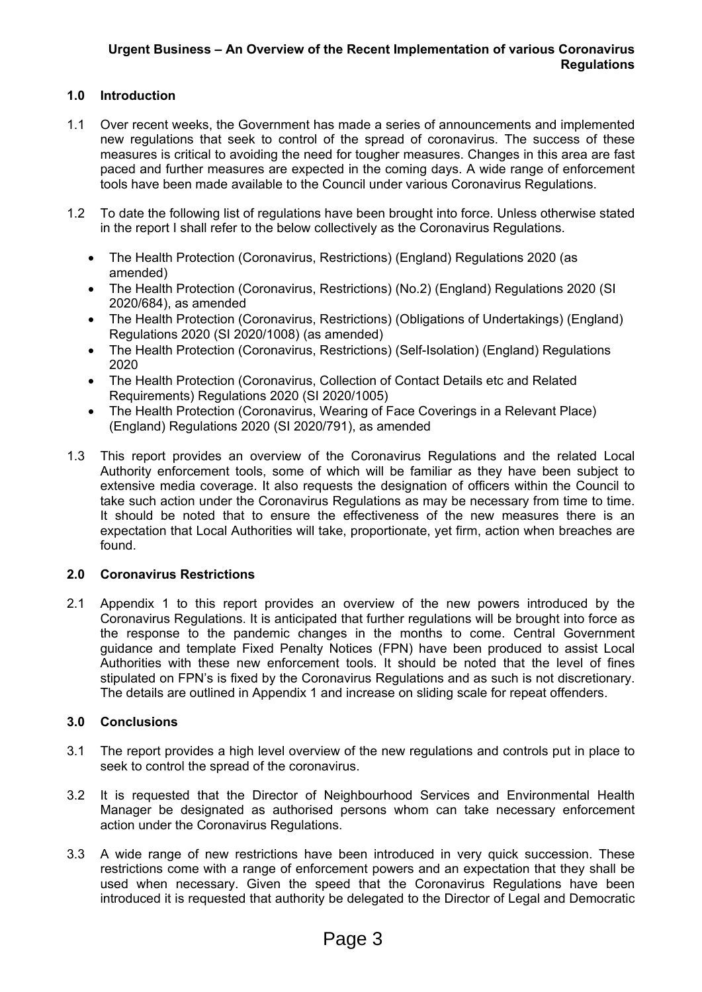# **1.0 Introduction**

- 1.1 Over recent weeks, the Government has made a series of announcements and implemented new regulations that seek to control of the spread of coronavirus. The success of these measures is critical to avoiding the need for tougher measures. Changes in this area are fast paced and further measures are expected in the coming days. A wide range of enforcement tools have been made available to the Council under various Coronavirus Regulations.
- 1.2 To date the following list of regulations have been brought into force. Unless otherwise stated in the report I shall refer to the below collectively as the Coronavirus Regulations.
	- The Health Protection (Coronavirus, Restrictions) (England) Regulations 2020 (as amended)
	- The Health Protection (Coronavirus, Restrictions) (No.2) (England) Regulations 2020 (SI 2020/684), as amended
	- The Health Protection (Coronavirus, Restrictions) (Obligations of Undertakings) (England) Regulations 2020 (SI 2020/1008) (as amended)
	- The Health Protection (Coronavirus, Restrictions) (Self-Isolation) (England) Regulations 2020
	- The Health Protection (Coronavirus, Collection of Contact Details etc and Related Requirements) Regulations 2020 (SI 2020/1005)
	- The Health Protection (Coronavirus, Wearing of Face Coverings in a Relevant Place) (England) Regulations 2020 (SI 2020/791), as amended
- 1.3 This report provides an overview of the Coronavirus Regulations and the related Local Authority enforcement tools, some of which will be familiar as they have been subject to extensive media coverage. It also requests the designation of officers within the Council to take such action under the Coronavirus Regulations as may be necessary from time to time. It should be noted that to ensure the effectiveness of the new measures there is an expectation that Local Authorities will take, proportionate, yet firm, action when breaches are found.

# **2.0 Coronavirus Restrictions**

2.1 Appendix 1 to this report provides an overview of the new powers introduced by the Coronavirus Regulations. It is anticipated that further regulations will be brought into force as the response to the pandemic changes in the months to come. Central Government guidance and template Fixed Penalty Notices (FPN) have been produced to assist Local Authorities with these new enforcement tools. It should be noted that the level of fines stipulated on FPN's is fixed by the Coronavirus Regulations and as such is not discretionary. The details are outlined in Appendix 1 and increase on sliding scale for repeat offenders.

# **3.0 Conclusions**

- 3.1 The report provides a high level overview of the new regulations and controls put in place to seek to control the spread of the coronavirus.
- 3.2 It is requested that the Director of Neighbourhood Services and Environmental Health Manager be designated as authorised persons whom can take necessary enforcement action under the Coronavirus Regulations.
- 3.3 A wide range of new restrictions have been introduced in very quick succession. These restrictions come with a range of enforcement powers and an expectation that they shall be used when necessary. Given the speed that the Coronavirus Regulations have been introduced it is requested that authority be delegated to the Director of Legal and Democratic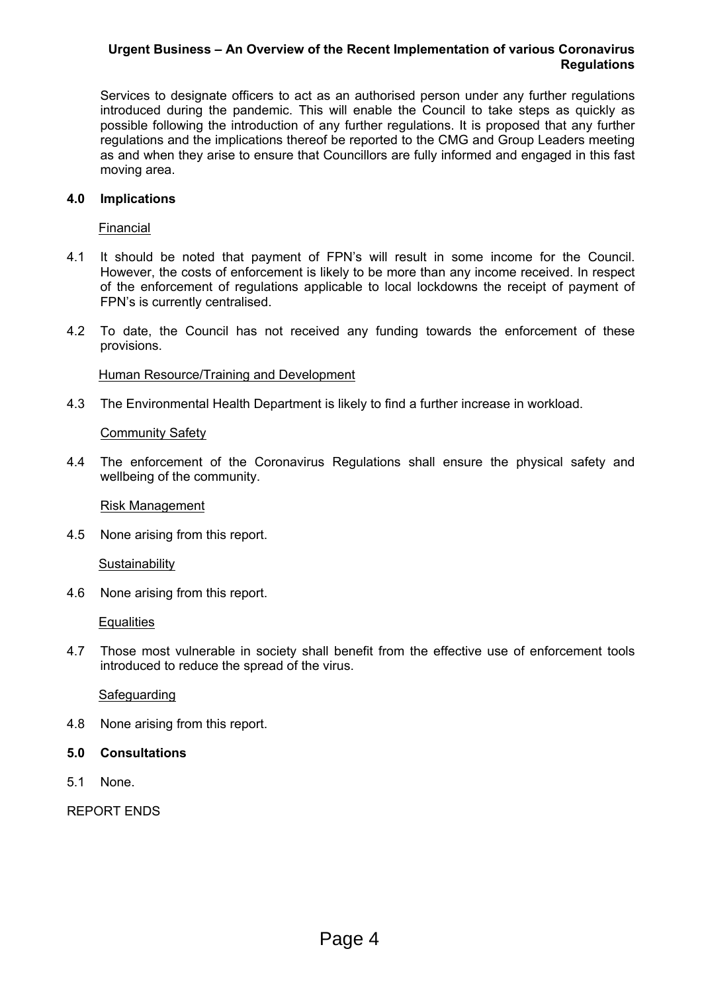Services to designate officers to act as an authorised person under any further regulations introduced during the pandemic. This will enable the Council to take steps as quickly as possible following the introduction of any further regulations. It is proposed that any further regulations and the implications thereof be reported to the CMG and Group Leaders meeting as and when they arise to ensure that Councillors are fully informed and engaged in this fast moving area.

### **4.0 Implications**

Financial

- 4.1 It should be noted that payment of FPN's will result in some income for the Council. However, the costs of enforcement is likely to be more than any income received. In respect of the enforcement of regulations applicable to local lockdowns the receipt of payment of FPN's is currently centralised.
- 4.2 To date, the Council has not received any funding towards the enforcement of these provisions.

#### Human Resource/Training and Development

4.3 The Environmental Health Department is likely to find a further increase in workload.

#### Community Safety

4.4 The enforcement of the Coronavirus Regulations shall ensure the physical safety and wellbeing of the community.

Risk Management

4.5 None arising from this report.

**Sustainability** 

4.6 None arising from this report.

**Equalities** 

4.7 Those most vulnerable in society shall benefit from the effective use of enforcement tools introduced to reduce the spread of the virus.

# Safeguarding

- 4.8 None arising from this report.
- **5.0 Consultations**
- 5.1 None.

REPORT ENDS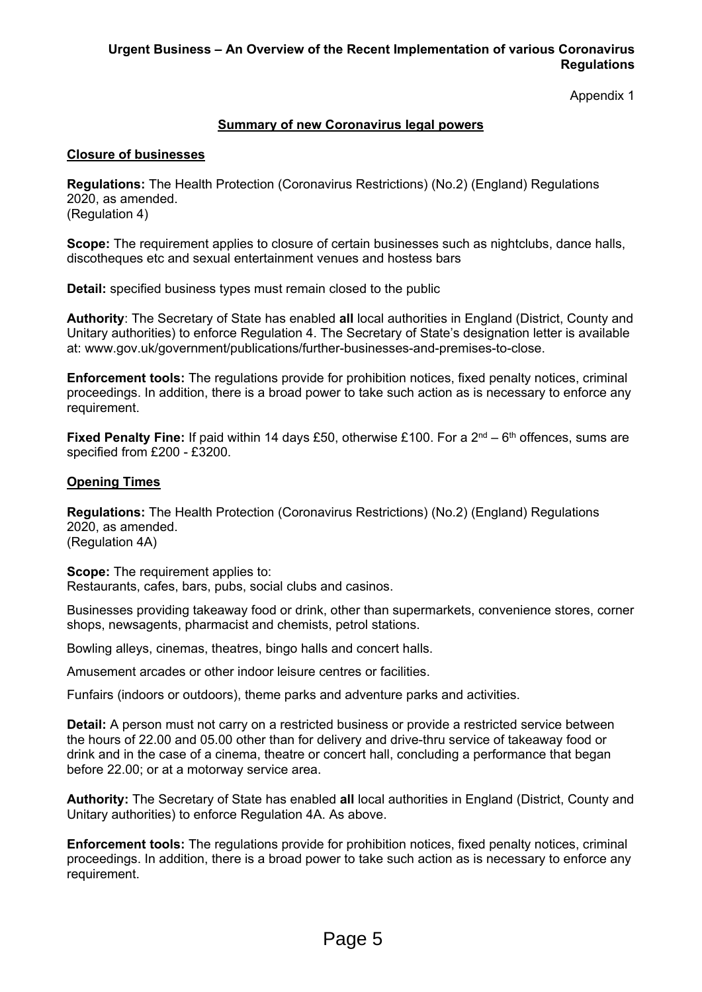Appendix 1

# **Summary of new Coronavirus legal powers**

### **Closure of businesses**

**Regulations:** The Health Protection (Coronavirus Restrictions) (No.2) (England) Regulations 2020, as amended. (Regulation 4)

**Scope:** The requirement applies to closure of certain businesses such as nightclubs, dance halls, discotheques etc and sexual entertainment venues and hostess bars

**Detail:** specified business types must remain closed to the public

**Authority**: The Secretary of State has enabled **all** local authorities in England (District, County and Unitary authorities) to enforce Regulation 4. The Secretary of State's designation letter is available at: www.gov.uk/government/publications/further-businesses-and-premises-to-close.

**Enforcement tools:** The regulations provide for prohibition notices, fixed penalty notices, criminal proceedings. In addition, there is a broad power to take such action as is necessary to enforce any requirement.

**Fixed Penalty Fine:** If paid within 14 days £50, otherwise £100. For a 2<sup>nd</sup> – 6<sup>th</sup> offences, sums are specified from £200 - £3200.

# **Opening Times**

**Regulations:** The Health Protection (Coronavirus Restrictions) (No.2) (England) Regulations 2020, as amended. (Regulation 4A)

**Scope:** The requirement applies to:

Restaurants, cafes, bars, pubs, social clubs and casinos.

Businesses providing takeaway food or drink, other than supermarkets, convenience stores, corner shops, newsagents, pharmacist and chemists, petrol stations.

Bowling alleys, cinemas, theatres, bingo halls and concert halls.

Amusement arcades or other indoor leisure centres or facilities.

Funfairs (indoors or outdoors), theme parks and adventure parks and activities.

**Detail:** A person must not carry on a restricted business or provide a restricted service between the hours of 22.00 and 05.00 other than for delivery and drive-thru service of takeaway food or drink and in the case of a cinema, theatre or concert hall, concluding a performance that began before 22.00; or at a motorway service area.

**Authority:** The Secretary of State has enabled **all** local authorities in England (District, County and Unitary authorities) to enforce Regulation 4A. As above.

**Enforcement tools:** The regulations provide for prohibition notices, fixed penalty notices, criminal proceedings. In addition, there is a broad power to take such action as is necessary to enforce any requirement.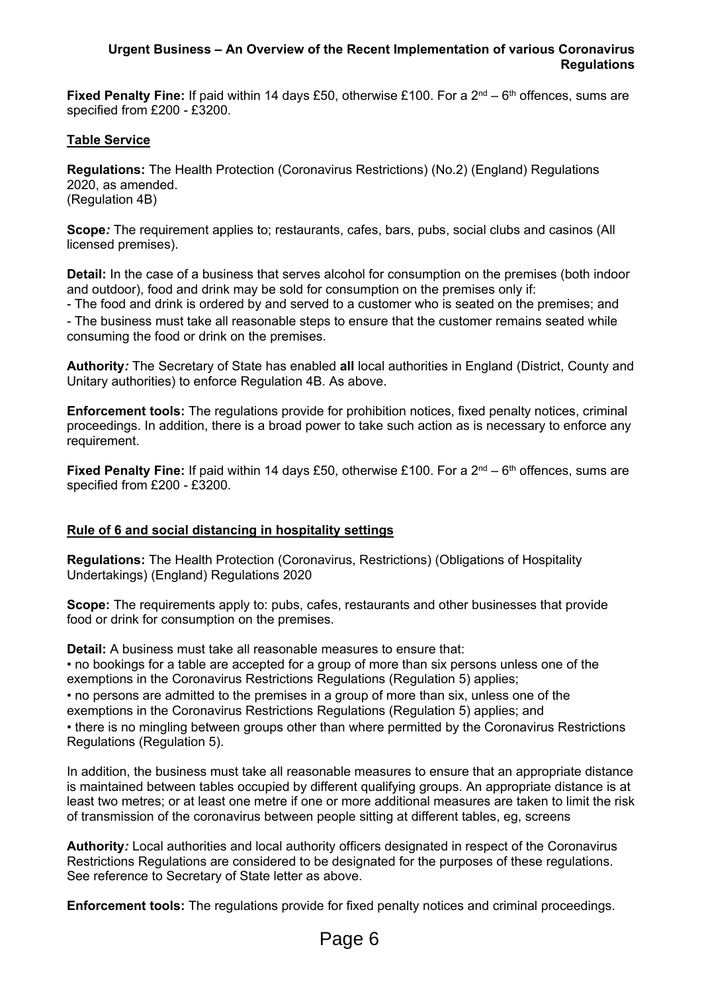**Fixed Penalty Fine:** If paid within 14 days £50, otherwise £100. For a 2<sup>nd</sup> – 6<sup>th</sup> offences, sums are specified from £200 - £3200.

# **Table Service**

**Regulations:** The Health Protection (Coronavirus Restrictions) (No.2) (England) Regulations 2020, as amended. (Regulation 4B)

**Scope***:* The requirement applies to; restaurants, cafes, bars, pubs, social clubs and casinos (All licensed premises).

**Detail:** In the case of a business that serves alcohol for consumption on the premises (both indoor and outdoor), food and drink may be sold for consumption on the premises only if:

- The food and drink is ordered by and served to a customer who is seated on the premises; and - The business must take all reasonable steps to ensure that the customer remains seated while consuming the food or drink on the premises.

**Authority***:* The Secretary of State has enabled **all** local authorities in England (District, County and Unitary authorities) to enforce Regulation 4B. As above.

**Enforcement tools:** The regulations provide for prohibition notices, fixed penalty notices, criminal proceedings. In addition, there is a broad power to take such action as is necessary to enforce any requirement.

**Fixed Penalty Fine:** If paid within 14 days £50, otherwise £100. For a 2<sup>nd</sup> – 6<sup>th</sup> offences, sums are specified from £200 - £3200.

# **Rule of 6 and social distancing in hospitality settings**

**Regulations:** The Health Protection (Coronavirus, Restrictions) (Obligations of Hospitality Undertakings) (England) Regulations 2020

**Scope:** The requirements apply to: pubs, cafes, restaurants and other businesses that provide food or drink for consumption on the premises.

**Detail:** A business must take all reasonable measures to ensure that:

• no bookings for a table are accepted for a group of more than six persons unless one of the exemptions in the Coronavirus Restrictions Regulations (Regulation 5) applies;

• no persons are admitted to the premises in a group of more than six, unless one of the exemptions in the Coronavirus Restrictions Regulations (Regulation 5) applies; and • there is no mingling between groups other than where permitted by the Coronavirus Restrictions Regulations (Regulation 5).

In addition, the business must take all reasonable measures to ensure that an appropriate distance is maintained between tables occupied by different qualifying groups. An appropriate distance is at least two metres; or at least one metre if one or more additional measures are taken to limit the risk of transmission of the coronavirus between people sitting at different tables, eg, screens

**Authority***:* Local authorities and local authority officers designated in respect of the Coronavirus Restrictions Regulations are considered to be designated for the purposes of these regulations. See reference to Secretary of State letter as above.

**Enforcement tools:** The regulations provide for fixed penalty notices and criminal proceedings.